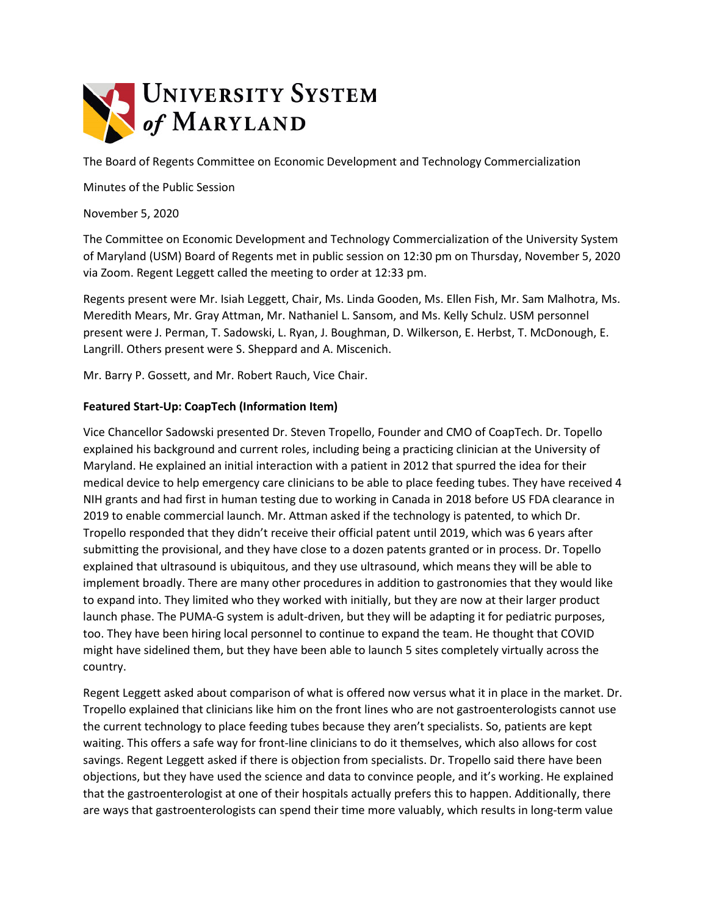

The Board of Regents Committee on Economic Development and Technology Commercialization

Minutes of the Public Session

November 5, 2020

The Committee on Economic Development and Technology Commercialization of the University System of Maryland (USM) Board of Regents met in public session on 12:30 pm on Thursday, November 5, 2020 via Zoom. Regent Leggett called the meeting to order at 12:33 pm.

Regents present were Mr. Isiah Leggett, Chair, Ms. Linda Gooden, Ms. Ellen Fish, Mr. Sam Malhotra, Ms. Meredith Mears, Mr. Gray Attman, Mr. Nathaniel L. Sansom, and Ms. Kelly Schulz. USM personnel present were J. Perman, T. Sadowski, L. Ryan, J. Boughman, D. Wilkerson, E. Herbst, T. McDonough, E. Langrill. Others present were S. Sheppard and A. Miscenich.

Mr. Barry P. Gossett, and Mr. Robert Rauch, Vice Chair.

## **Featured Start-Up: CoapTech (Information Item)**

Vice Chancellor Sadowski presented Dr. Steven Tropello, Founder and CMO of CoapTech. Dr. Topello explained his background and current roles, including being a practicing clinician at the University of Maryland. He explained an initial interaction with a patient in 2012 that spurred the idea for their medical device to help emergency care clinicians to be able to place feeding tubes. They have received 4 NIH grants and had first in human testing due to working in Canada in 2018 before US FDA clearance in 2019 to enable commercial launch. Mr. Attman asked if the technology is patented, to which Dr. Tropello responded that they didn't receive their official patent until 2019, which was 6 years after submitting the provisional, and they have close to a dozen patents granted or in process. Dr. Topello explained that ultrasound is ubiquitous, and they use ultrasound, which means they will be able to implement broadly. There are many other procedures in addition to gastronomies that they would like to expand into. They limited who they worked with initially, but they are now at their larger product launch phase. The PUMA-G system is adult-driven, but they will be adapting it for pediatric purposes, too. They have been hiring local personnel to continue to expand the team. He thought that COVID might have sidelined them, but they have been able to launch 5 sites completely virtually across the country.

Regent Leggett asked about comparison of what is offered now versus what it in place in the market. Dr. Tropello explained that clinicians like him on the front lines who are not gastroenterologists cannot use the current technology to place feeding tubes because they aren't specialists. So, patients are kept waiting. This offers a safe way for front-line clinicians to do it themselves, which also allows for cost savings. Regent Leggett asked if there is objection from specialists. Dr. Tropello said there have been objections, but they have used the science and data to convince people, and it's working. He explained that the gastroenterologist at one of their hospitals actually prefers this to happen. Additionally, there are ways that gastroenterologists can spend their time more valuably, which results in long-term value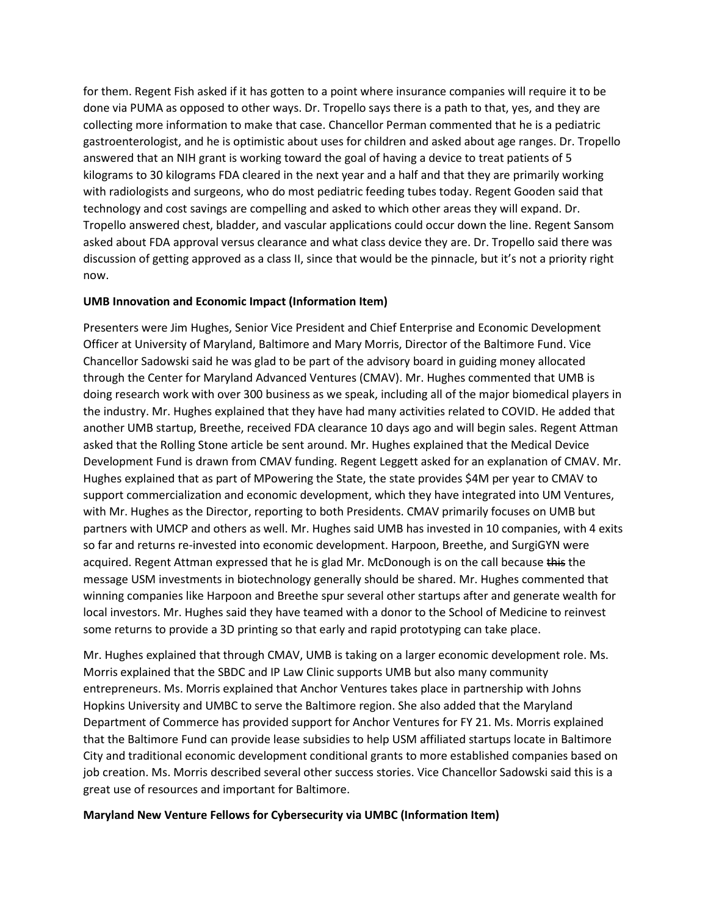for them. Regent Fish asked if it has gotten to a point where insurance companies will require it to be done via PUMA as opposed to other ways. Dr. Tropello says there is a path to that, yes, and they are collecting more information to make that case. Chancellor Perman commented that he is a pediatric gastroenterologist, and he is optimistic about uses for children and asked about age ranges. Dr. Tropello answered that an NIH grant is working toward the goal of having a device to treat patients of 5 kilograms to 30 kilograms FDA cleared in the next year and a half and that they are primarily working with radiologists and surgeons, who do most pediatric feeding tubes today. Regent Gooden said that technology and cost savings are compelling and asked to which other areas they will expand. Dr. Tropello answered chest, bladder, and vascular applications could occur down the line. Regent Sansom asked about FDA approval versus clearance and what class device they are. Dr. Tropello said there was discussion of getting approved as a class II, since that would be the pinnacle, but it's not a priority right now.

## **UMB Innovation and Economic Impact (Information Item)**

Presenters were Jim Hughes, Senior Vice President and Chief Enterprise and Economic Development Officer at University of Maryland, Baltimore and Mary Morris, Director of the Baltimore Fund. Vice Chancellor Sadowski said he was glad to be part of the advisory board in guiding money allocated through the Center for Maryland Advanced Ventures (CMAV). Mr. Hughes commented that UMB is doing research work with over 300 business as we speak, including all of the major biomedical players in the industry. Mr. Hughes explained that they have had many activities related to COVID. He added that another UMB startup, Breethe, received FDA clearance 10 days ago and will begin sales. Regent Attman asked that the Rolling Stone article be sent around. Mr. Hughes explained that the Medical Device Development Fund is drawn from CMAV funding. Regent Leggett asked for an explanation of CMAV. Mr. Hughes explained that as part of MPowering the State, the state provides \$4M per year to CMAV to support commercialization and economic development, which they have integrated into UM Ventures, with Mr. Hughes as the Director, reporting to both Presidents. CMAV primarily focuses on UMB but partners with UMCP and others as well. Mr. Hughes said UMB has invested in 10 companies, with 4 exits so far and returns re-invested into economic development. Harpoon, Breethe, and SurgiGYN were acquired. Regent Attman expressed that he is glad Mr. McDonough is on the call because this the message USM investments in biotechnology generally should be shared. Mr. Hughes commented that winning companies like Harpoon and Breethe spur several other startups after and generate wealth for local investors. Mr. Hughes said they have teamed with a donor to the School of Medicine to reinvest some returns to provide a 3D printing so that early and rapid prototyping can take place.

Mr. Hughes explained that through CMAV, UMB is taking on a larger economic development role. Ms. Morris explained that the SBDC and IP Law Clinic supports UMB but also many community entrepreneurs. Ms. Morris explained that Anchor Ventures takes place in partnership with Johns Hopkins University and UMBC to serve the Baltimore region. She also added that the Maryland Department of Commerce has provided support for Anchor Ventures for FY 21. Ms. Morris explained that the Baltimore Fund can provide lease subsidies to help USM affiliated startups locate in Baltimore City and traditional economic development conditional grants to more established companies based on job creation. Ms. Morris described several other success stories. Vice Chancellor Sadowski said this is a great use of resources and important for Baltimore.

## **Maryland New Venture Fellows for Cybersecurity via UMBC (Information Item)**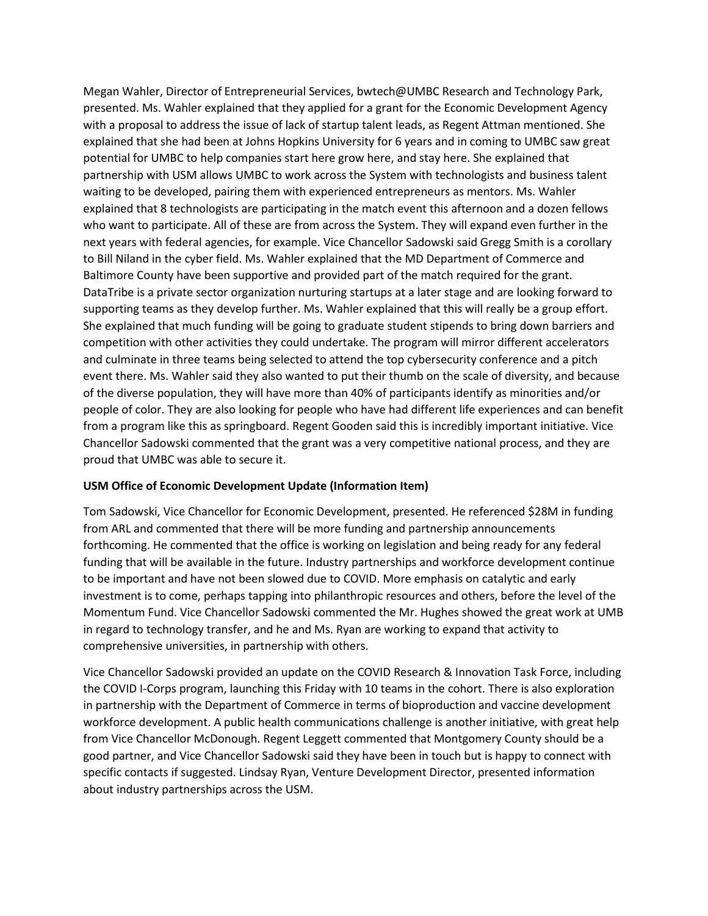Megan Wahler, Director of Entrepreneurial Services, bwtech@UMBC Research and Technology Park, presented. Ms. Wahler explained that they applied for a grant for the Economic Development Agency with a proposal to address the issue of lack of startup talent leads, as Regent Attman mentioned. She explained that she had been at Johns Hopkins University for 6 years and in coming to UMBC saw great potential for UMBC to help companies start here grow here, and stay here. She explained that partnership with USM allows UMBC to work across the System with technologists and business talent waiting to be developed, pairing them with experienced entrepreneurs as mentors. Ms. Wahler explained that 8 technologists are participating in the match event this afternoon and a dozen fellows who want to participate. All of these are from across the System. They will expand even further in the next years with federal agencies, for example. Vice Chancellor Sadowski said Gregg Smith is a corollary to Bill Niland in the cyber field. Ms. Wahler explained that the MD Department of Commerce and Baltimore County have been supportive and provided part of the match required for the grant. DataTribe is a private sector organization nurturing startups at a later stage and are looking forward to supporting teams as they develop further. Ms. Wahler explained that this will really be a group effort. She explained that much funding will be going to graduate student stipends to bring down barriers and competition with other activities they could undertake. The program will mirror different accelerators and culminate in three teams being selected to attend the top cybersecurity conference and a pitch event there. Ms. Wahler said they also wanted to put their thumb on the scale of diversity, and because of the diverse population, they will have more than 40% of participants identify as minorities and/or people of color. They are also looking for people who have had different life experiences and can benefit from a program like this as springboard. Regent Gooden said this is incredibly important initiative. Vice Chancellor Sadowski commented that the grant was a very competitive national process, and they are proud that UMBC was able to secure it.

## **USM Office of Economic Development Update (Information Item)**

Tom Sadowski, Vice Chancellor for Economic Development, presented. He referenced \$28M in funding from ARL and commented that there will be more funding and partnership announcements forthcoming. He commented that the office is working on legislation and being ready for any federal funding that will be available in the future. Industry partnerships and workforce development continue to be important and have not been slowed due to COVID. More emphasis on catalytic and early investment is to come, perhaps tapping into philanthropic resources and others, before the level of the Momentum Fund. Vice Chancellor Sadowski commented the Mr. Hughes showed the great work at UMB in regard to technology transfer, and he and Ms. Ryan are working to expand that activity to comprehensive universities, in partnership with others.

Vice Chancellor Sadowski provided an update on the COVID Research & Innovation Task Force, including the COVID I-Corps program, launching this Friday with 10 teams in the cohort. There is also exploration in partnership with the Department of Commerce in terms of bioproduction and vaccine development workforce development. A public health communications challenge is another initiative, with great help from Vice Chancellor McDonough. Regent Leggett commented that Montgomery County should be a good partner, and Vice Chancellor Sadowski said they have been in touch but is happy to connect with specific contacts if suggested. Lindsay Ryan, Venture Development Director, presented information about industry partnerships across the USM.